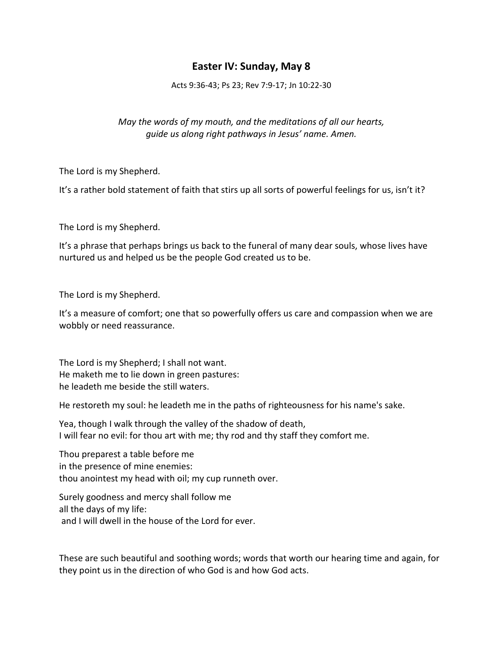## **Easter IV: Sunday, May 8**

Acts 9:36-43; Ps 23; Rev 7:9-17; Jn 10:22-30

## *May the words of my mouth, and the meditations of all our hearts, guide us along right pathways in Jesus' name. Amen.*

The Lord is my Shepherd.

It's a rather bold statement of faith that stirs up all sorts of powerful feelings for us, isn't it?

The Lord is my Shepherd.

It's a phrase that perhaps brings us back to the funeral of many dear souls, whose lives have nurtured us and helped us be the people God created us to be.

The Lord is my Shepherd.

It's a measure of comfort; one that so powerfully offers us care and compassion when we are wobbly or need reassurance.

The Lord is my Shepherd; I shall not want. He maketh me to lie down in green pastures: he leadeth me beside the still waters.

He restoreth my soul: he leadeth me in the paths of righteousness for his name's sake.

Yea, though I walk through the valley of the shadow of death, I will fear no evil: for thou art with me; thy rod and thy staff they comfort me.

Thou preparest a table before me in the presence of mine enemies: thou anointest my head with oil; my cup runneth over.

Surely goodness and mercy shall follow me all the days of my life: and I will dwell in the house of the Lord for ever.

These are such beautiful and soothing words; words that worth our hearing time and again, for they point us in the direction of who God is and how God acts.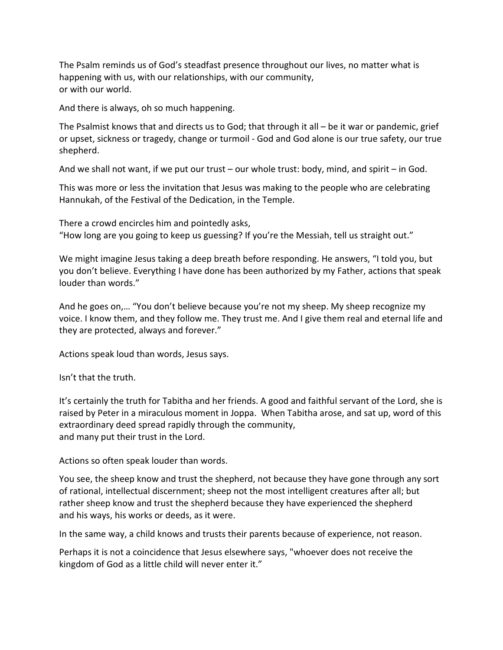The Psalm reminds us of God's steadfast presence throughout our lives, no matter what is happening with us, with our relationships, with our community, or with our world.

And there is always, oh so much happening.

The Psalmist knows that and directs us to God; that through it all – be it war or pandemic, grief or upset, sickness or tragedy, change or turmoil - God and God alone is our true safety, our true shepherd.

And we shall not want, if we put our trust – our whole trust: body, mind, and spirit – in God.

This was more or less the invitation that Jesus was making to the people who are celebrating Hannukah, of the Festival of the Dedication, in the Temple.

There a crowd encircles him and pointedly asks, "How long are you going to keep us guessing? If you're the Messiah, tell us straight out."

We might imagine Jesus taking a deep breath before responding. He answers, "I told you, but you don't believe. Everything I have done has been authorized by my Father, actions that speak louder than words."

And he goes on,… "You don't believe because you're not my sheep. My sheep recognize my voice. I know them, and they follow me. They trust me. And I give them real and eternal life and they are protected, always and forever."

Actions speak loud than words, Jesus says.

Isn't that the truth.

It's certainly the truth for Tabitha and her friends. A good and faithful servant of the Lord, she is raised by Peter in a miraculous moment in Joppa. When Tabitha arose, and sat up, word of this extraordinary deed spread rapidly through the community, and many put their trust in the Lord.

Actions so often speak louder than words.

You see, the sheep know and trust the shepherd, not because they have gone through any sort of rational, intellectual discernment; sheep not the most intelligent creatures after all; but rather sheep know and trust the shepherd because they have experienced the shepherd and his ways, his works or deeds, as it were.

In the same way, a child knows and trusts their parents because of experience, not reason.

Perhaps it is not a coincidence that Jesus elsewhere says, "whoever does not receive the kingdom of God as a little child will never enter it."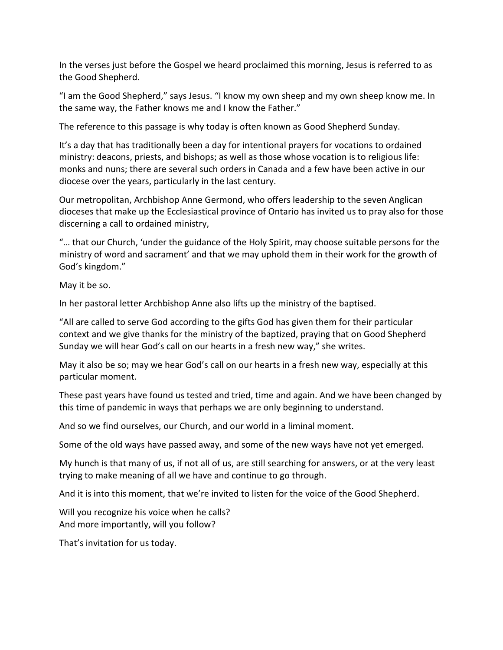In the verses just before the Gospel we heard proclaimed this morning, Jesus is referred to as the Good Shepherd.

"I am the Good Shepherd," says Jesus. "I know my own sheep and my own sheep know me. In the same way, the Father knows me and I know the Father."

The reference to this passage is why today is often known as Good Shepherd Sunday.

It's a day that has traditionally been a day for intentional prayers for vocations to ordained ministry: deacons, priests, and bishops; as well as those whose vocation is to religious life: monks and nuns; there are several such orders in Canada and a few have been active in our diocese over the years, particularly in the last century.

Our metropolitan, Archbishop Anne Germond, who offers leadership to the seven Anglican dioceses that make up the Ecclesiastical province of Ontario has invited us to pray also for those discerning a call to ordained ministry,

"… that our Church, 'under the guidance of the Holy Spirit, may choose suitable persons for the ministry of word and sacrament' and that we may uphold them in their work for the growth of God's kingdom."

May it be so.

In her pastoral letter Archbishop Anne also lifts up the ministry of the baptised.

"All are called to serve God according to the gifts God has given them for their particular context and we give thanks for the ministry of the baptized, praying that on Good Shepherd Sunday we will hear God's call on our hearts in a fresh new way," she writes.

May it also be so; may we hear God's call on our hearts in a fresh new way, especially at this particular moment.

These past years have found us tested and tried, time and again. And we have been changed by this time of pandemic in ways that perhaps we are only beginning to understand.

And so we find ourselves, our Church, and our world in a liminal moment.

Some of the old ways have passed away, and some of the new ways have not yet emerged.

My hunch is that many of us, if not all of us, are still searching for answers, or at the very least trying to make meaning of all we have and continue to go through.

And it is into this moment, that we're invited to listen for the voice of the Good Shepherd.

Will you recognize his voice when he calls? And more importantly, will you follow?

That's invitation for us today.